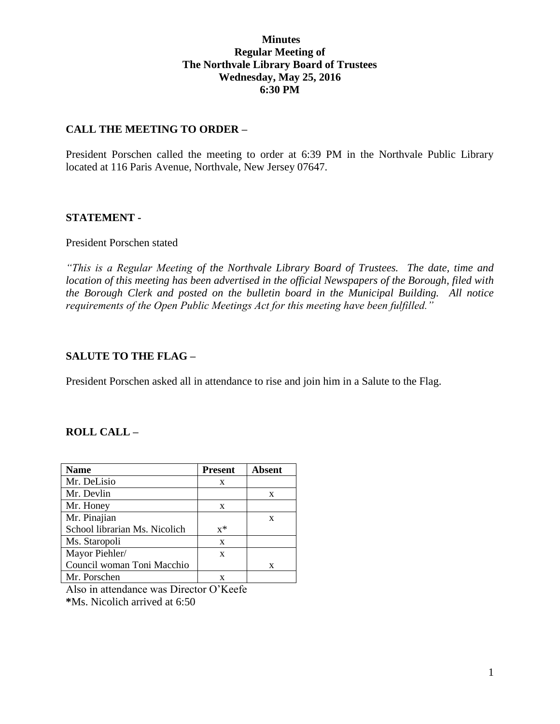## **Minutes Regular Meeting of The Northvale Library Board of Trustees Wednesday, May 25, 2016 6:30 PM**

## **CALL THE MEETING TO ORDER –**

President Porschen called the meeting to order at 6:39 PM in the Northvale Public Library located at 116 Paris Avenue, Northvale, New Jersey 07647.

## **STATEMENT -**

#### President Porschen stated

*"This is a Regular Meeting of the Northvale Library Board of Trustees. The date, time and location of this meeting has been advertised in the official Newspapers of the Borough, filed with the Borough Clerk and posted on the bulletin board in the Municipal Building. All notice requirements of the Open Public Meetings Act for this meeting have been fulfilled."* 

#### **SALUTE TO THE FLAG –**

President Porschen asked all in attendance to rise and join him in a Salute to the Flag.

## **ROLL CALL –**

| Name                          | <b>Present</b> | <b>Absent</b> |
|-------------------------------|----------------|---------------|
| Mr. DeLisio                   | X              |               |
| Mr. Devlin                    |                | X             |
| Mr. Honey                     | X              |               |
| Mr. Pinajian                  |                | X             |
| School librarian Ms. Nicolich | $x^*$          |               |
| Ms. Staropoli                 | X              |               |
| Mayor Piehler/                | X              |               |
| Council woman Toni Macchio    |                | X             |
| Mr. Porschen                  |                |               |

Also in attendance was Director O'Keefe **\***Ms. Nicolich arrived at 6:50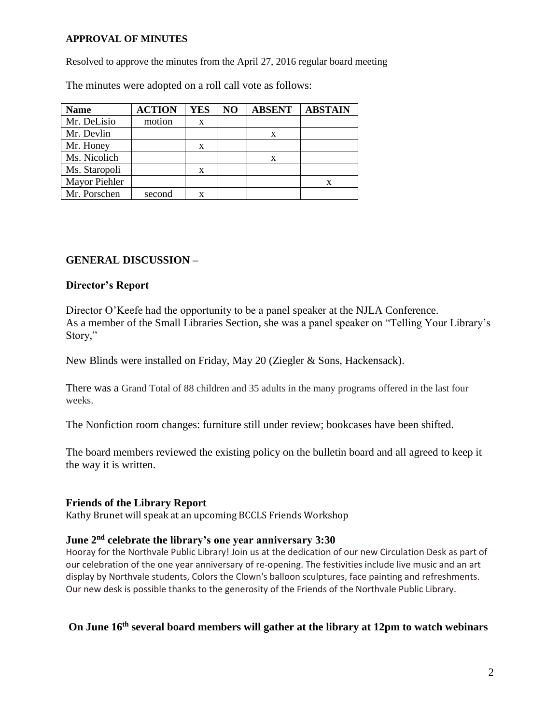#### **APPROVAL OF MINUTES**

Resolved to approve the minutes from the April 27, 2016 regular board meeting

The minutes were adopted on a roll call vote as follows:

| <b>Name</b>   | <b>ACTION</b> | <b>YES</b> | N <sub>O</sub> | <b>ABSENT</b> | <b>ABSTAIN</b> |
|---------------|---------------|------------|----------------|---------------|----------------|
| Mr. DeLisio   | motion        | X          |                |               |                |
| Mr. Devlin    |               |            |                | X             |                |
| Mr. Honey     |               | x          |                |               |                |
| Ms. Nicolich  |               |            |                | X             |                |
| Ms. Staropoli |               | X          |                |               |                |
| Mayor Piehler |               |            |                |               |                |
| Mr. Porschen  | second        |            |                |               |                |

## **GENERAL DISCUSSION –**

#### **Director's Report**

Director O'Keefe had the opportunity to be a panel speaker at the NJLA Conference. As a member of the Small Libraries Section, she was a panel speaker on "Telling Your Library's Story,"

New Blinds were installed on Friday, May 20 (Ziegler & Sons, Hackensack).

There was a Grand Total of 88 children and 35 adults in the many programs offered in the last four weeks.

The Nonfiction room changes: furniture still under review; bookcases have been shifted.

The board members reviewed the existing policy on the bulletin board and all agreed to keep it the way it is written.

## **Friends of the Library Report**

Kathy Brunet will speak at an upcoming BCCLS Friends Workshop

## **June 2nd celebrate the library's one year anniversary 3:30**

Hooray for the Northvale Public Library! Join us at the dedication of our new Circulation Desk as part of our celebration of the one year anniversary of re-opening. The festivities include live music and an art display by Northvale students, Colors the Clown's balloon sculptures, face painting and refreshments. Our new desk is possible thanks to the generosity of the Friends of the Northvale Public Library.

# **On June 16th several board members will gather at the library at 12pm to watch webinars**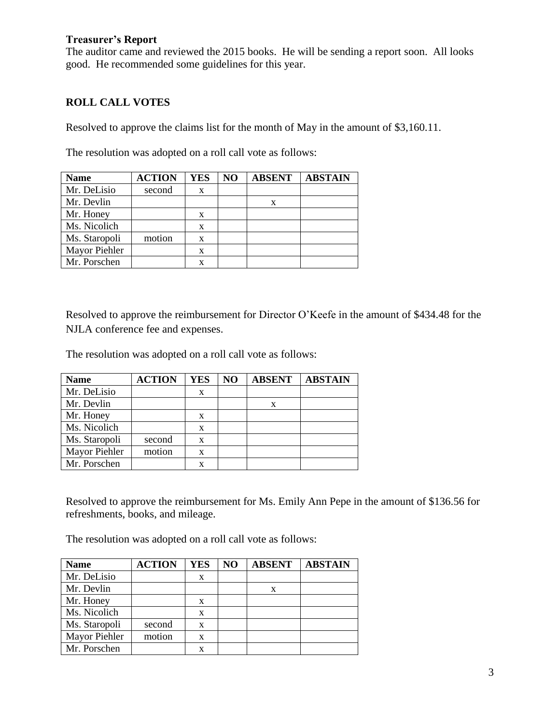## **Treasurer's Report**

The auditor came and reviewed the 2015 books. He will be sending a report soon. All looks good. He recommended some guidelines for this year.

# **ROLL CALL VOTES**

Resolved to approve the claims list for the month of May in the amount of \$3,160.11.

The resolution was adopted on a roll call vote as follows:

| <b>Name</b>   | <b>ACTION</b> | YES | NO | <b>ABSENT</b> | <b>ABSTAIN</b> |
|---------------|---------------|-----|----|---------------|----------------|
| Mr. DeLisio   | second        | X   |    |               |                |
| Mr. Devlin    |               |     |    | X             |                |
| Mr. Honey     |               | x   |    |               |                |
| Ms. Nicolich  |               | X   |    |               |                |
| Ms. Staropoli | motion        | X   |    |               |                |
| Mayor Piehler |               | X   |    |               |                |
| Mr. Porschen  |               |     |    |               |                |

Resolved to approve the reimbursement for Director O'Keefe in the amount of \$434.48 for the NJLA conference fee and expenses.

The resolution was adopted on a roll call vote as follows:

| <b>Name</b>   | <b>ACTION</b> | YES | NO | <b>ABSENT</b> | <b>ABSTAIN</b> |
|---------------|---------------|-----|----|---------------|----------------|
| Mr. DeLisio   |               | X   |    |               |                |
| Mr. Devlin    |               |     |    | X             |                |
| Mr. Honey     |               | X   |    |               |                |
| Ms. Nicolich  |               | X   |    |               |                |
| Ms. Staropoli | second        | X   |    |               |                |
| Mayor Piehler | motion        | x   |    |               |                |
| Mr. Porschen  |               |     |    |               |                |

Resolved to approve the reimbursement for Ms. Emily Ann Pepe in the amount of \$136.56 for refreshments, books, and mileage.

The resolution was adopted on a roll call vote as follows:

| <b>Name</b>   | <b>ACTION</b> | YES | NO | <b>ABSENT</b> | <b>ABSTAIN</b> |
|---------------|---------------|-----|----|---------------|----------------|
| Mr. DeLisio   |               | X   |    |               |                |
| Mr. Devlin    |               |     |    | X             |                |
| Mr. Honey     |               | X   |    |               |                |
| Ms. Nicolich  |               | X   |    |               |                |
| Ms. Staropoli | second        | X   |    |               |                |
| Mayor Piehler | motion        | X   |    |               |                |
| Mr. Porschen  |               |     |    |               |                |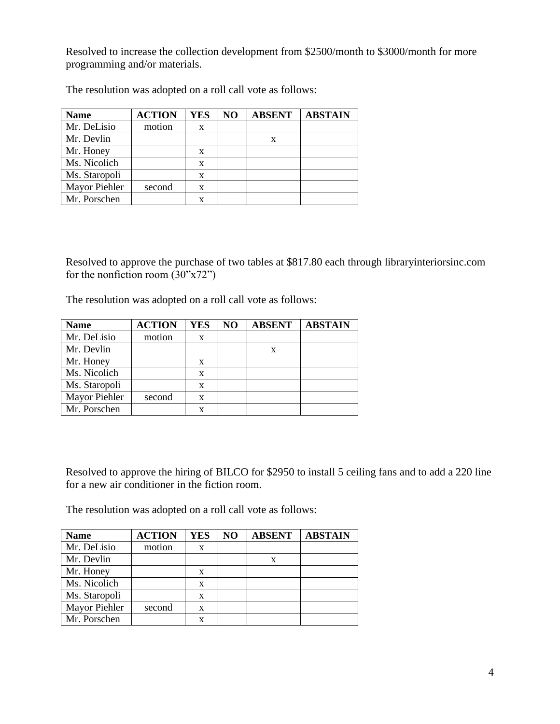Resolved to increase the collection development from \$2500/month to \$3000/month for more programming and/or materials.

| <b>Name</b>   | <b>ACTION</b> | YES | NO | <b>ABSENT</b> | <b>ABSTAIN</b> |
|---------------|---------------|-----|----|---------------|----------------|
| Mr. DeLisio   | motion        | X   |    |               |                |
| Mr. Devlin    |               |     |    | x             |                |
| Mr. Honey     |               | X   |    |               |                |
| Ms. Nicolich  |               | X   |    |               |                |
| Ms. Staropoli |               | X   |    |               |                |
| Mayor Piehler | second        | X   |    |               |                |
| Mr. Porschen  |               |     |    |               |                |

The resolution was adopted on a roll call vote as follows:

Resolved to approve the purchase of two tables at \$817.80 each through libraryinteriorsinc.com for the nonfiction room  $(30"x72")$ 

The resolution was adopted on a roll call vote as follows:

| <b>Name</b>   | <b>ACTION</b> | <b>YES</b> | NO | <b>ABSENT</b> | <b>ABSTAIN</b> |
|---------------|---------------|------------|----|---------------|----------------|
| Mr. DeLisio   | motion        | X          |    |               |                |
| Mr. Devlin    |               |            |    | X             |                |
| Mr. Honey     |               | X          |    |               |                |
| Ms. Nicolich  |               | X          |    |               |                |
| Ms. Staropoli |               | x          |    |               |                |
| Mayor Piehler | second        | X          |    |               |                |
| Mr. Porschen  |               |            |    |               |                |

Resolved to approve the hiring of BILCO for \$2950 to install 5 ceiling fans and to add a 220 line for a new air conditioner in the fiction room.

The resolution was adopted on a roll call vote as follows:

| <b>Name</b>   | <b>ACTION</b> | YES | N <sub>O</sub> | <b>ABSENT</b> | <b>ABSTAIN</b> |
|---------------|---------------|-----|----------------|---------------|----------------|
| Mr. DeLisio   | motion        | X   |                |               |                |
| Mr. Devlin    |               |     |                | X             |                |
| Mr. Honey     |               | X   |                |               |                |
| Ms. Nicolich  |               | X   |                |               |                |
| Ms. Staropoli |               | X   |                |               |                |
| Mayor Piehler | second        | X   |                |               |                |
| Mr. Porschen  |               | x   |                |               |                |